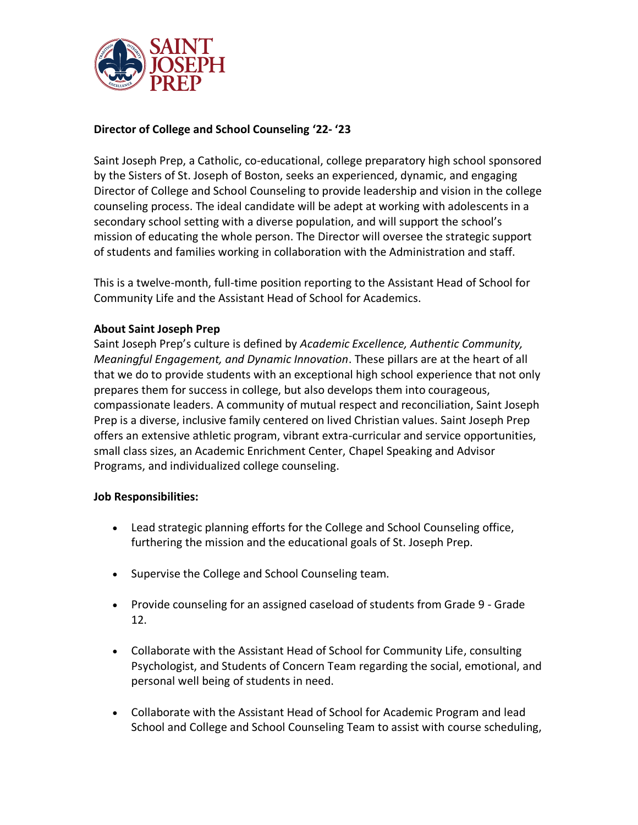

# **Director of College and School Counseling '22- '23**

Saint Joseph Prep, a Catholic, co-educational, college preparatory high school sponsored by the Sisters of St. Joseph of Boston, seeks an experienced, dynamic, and engaging Director of College and School Counseling to provide leadership and vision in the college counseling process. The ideal candidate will be adept at working with adolescents in a secondary school setting with a diverse population, and will support the school's mission of educating the whole person. The Director will oversee the strategic support of students and families working in collaboration with the Administration and staff.

This is a twelve-month, full-time position reporting to the Assistant Head of School for Community Life and the Assistant Head of School for Academics.

## **About Saint Joseph Prep**

Saint Joseph Prep's culture is defined by *Academic Excellence, Authentic Community, Meaningful Engagement, and Dynamic Innovation*. These pillars are at the heart of all that we do to provide students with an exceptional high school experience that not only prepares them for success in college, but also develops them into courageous, compassionate leaders. A community of mutual respect and reconciliation, Saint Joseph Prep is a diverse, inclusive family centered on lived Christian values. Saint Joseph Prep offers an extensive athletic program, vibrant extra-curricular and service opportunities, small class sizes, an Academic Enrichment Center, Chapel Speaking and Advisor Programs, and individualized college counseling.

## **Job Responsibilities:**

- Lead strategic planning efforts for the College and School Counseling office, furthering the mission and the educational goals of St. Joseph Prep.
- Supervise the College and School Counseling team.
- Provide counseling for an assigned caseload of students from Grade 9 Grade 12.
- Collaborate with the Assistant Head of School for Community Life, consulting Psychologist, and Students of Concern Team regarding the social, emotional, and personal well being of students in need.
- Collaborate with the Assistant Head of School for Academic Program and lead School and College and School Counseling Team to assist with course scheduling,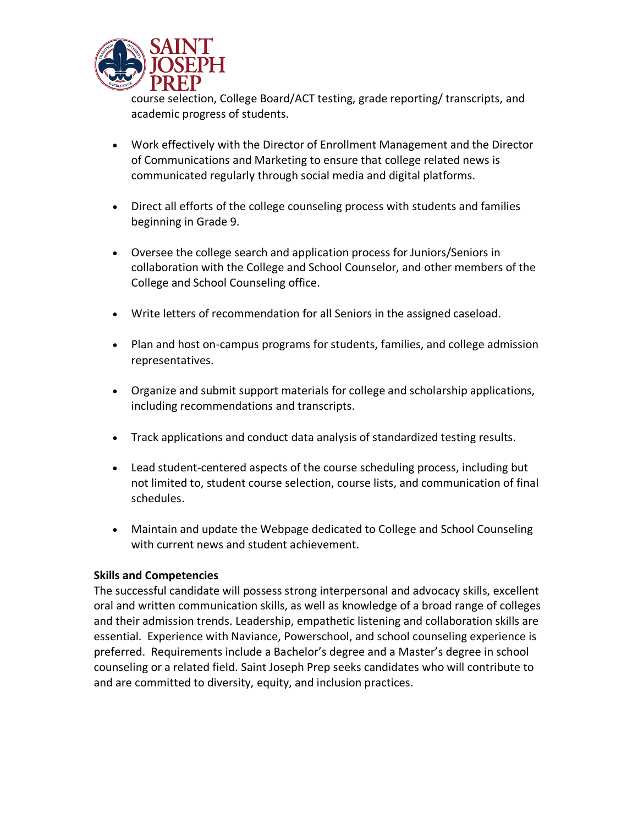

course selection, College Board/ACT testing, grade reporting/ transcripts, and academic progress of students.

- Work effectively with the Director of Enrollment Management and the Director of Communications and Marketing to ensure that college related news is communicated regularly through social media and digital platforms.
- Direct all efforts of the college counseling process with students and families beginning in Grade 9.
- Oversee the college search and application process for Juniors/Seniors in collaboration with the College and School Counselor, and other members of the College and School Counseling office.
- Write letters of recommendation for all Seniors in the assigned caseload.
- Plan and host on-campus programs for students, families, and college admission representatives.
- Organize and submit support materials for college and scholarship applications, including recommendations and transcripts.
- Track applications and conduct data analysis of standardized testing results.
- Lead student-centered aspects of the course scheduling process, including but not limited to, student course selection, course lists, and communication of final schedules.
- Maintain and update the Webpage dedicated to College and School Counseling with current news and student achievement.

## **Skills and Competencies**

The successful candidate will possess strong interpersonal and advocacy skills, excellent oral and written communication skills, as well as knowledge of a broad range of colleges and their admission trends. Leadership, empathetic listening and collaboration skills are essential. Experience with Naviance, Powerschool, and school counseling experience is preferred. Requirements include a Bachelor's degree and a Master's degree in school counseling or a related field. Saint Joseph Prep seeks candidates who will contribute to and are committed to diversity, equity, and inclusion practices.